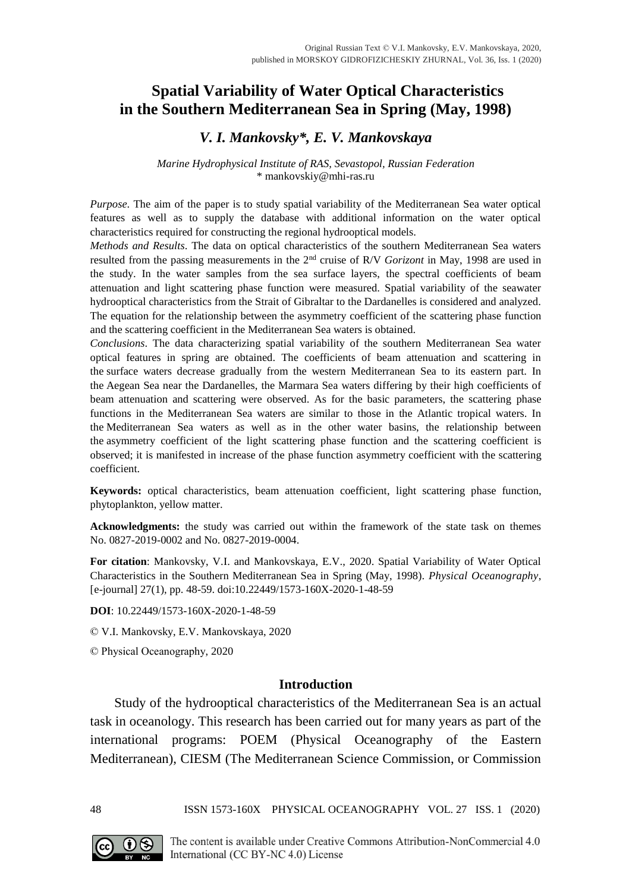# **Spatial Variability of Water Optical Characteristics in the Southern Mediterranean Sea in Spring (May, 1998)**

## *V. I. Mankovsky\*, E. V. Mankovskaya*

#### *Marine Hydrophysical Institute of RAS, Sevastopol, Russian Federation* \* mankovskiy@mhi-ras.ru

*Purpose*. The aim of the paper is to study spatial variability of the Mediterranean Sea water optical features as well as to supply the database with additional information on the water optical characteristics required for constructing the regional hydrooptical models.

*Methods and Results*. The data on optical characteristics of the southern Mediterranean Sea waters resulted from the passing measurements in the 2nd cruise of R/V *Gorizont* in May, 1998 are used in the study. In the water samples from the sea surface layers, the spectral coefficients of beam attenuation and light scattering phase function were measured. Spatial variability of the seawater hydrooptical characteristics from the Strait of Gibraltar to the Dardanelles is considered and analyzed. The equation for the relationship between the asymmetry coefficient of the scattering phase function and the scattering coefficient in the Mediterranean Sea waters is obtained.

*Conclusions*. The data characterizing spatial variability of the southern Mediterranean Sea water optical features in spring are obtained. The coefficients of beam attenuation and scattering in the surface waters decrease gradually from the western Mediterranean Sea to its eastern part. In the Aegean Sea near the Dardanelles, the Marmara Sea waters differing by their high coefficients of beam attenuation and scattering were observed. As for the basic parameters, the scattering phase functions in the Mediterranean Sea waters are similar to those in the Atlantic tropical waters. In the Mediterranean Sea waters as well as in the other water basins, the relationship between the asymmetry coefficient of the light scattering phase function and the scattering coefficient is observed; it is manifested in increase of the phase function asymmetry coefficient with the scattering coefficient.

**Keywords:** optical characteristics, beam attenuation coefficient, light scattering phase function, phytoplankton, yellow matter.

**Acknowledgments:** the study was carried out within the framework of the state task on themes No. 0827-2019-0002 and No. 0827-2019-0004.

**For citation**: Mankovsky, V.I. and Mankovskaya, E.V., 2020. Spatial Variability of Water Optical Characteristics in the Southern Mediterranean Sea in Spring (May, 1998). *Physical Oceanography*, [e-journal] 27(1), pp. 48-59. doi:10.22449/1573-160X-2020-1-48-59

**DOI**: 10.22449/1573-160X-2020-1-48-59

© V.I. Mankovsky, E.V. Mankovskaya, 2020

© Physical Oceanography, 2020

### **Introduction**

Study of the hydrooptical characteristics of the Mediterranean Sea is an actual task in oceanology. This research has been carried out for many years as part of the international programs: POEM (Physical Oceanography of the Eastern Mediterranean), CIESM (The Mediterranean Science Commission, or Commission

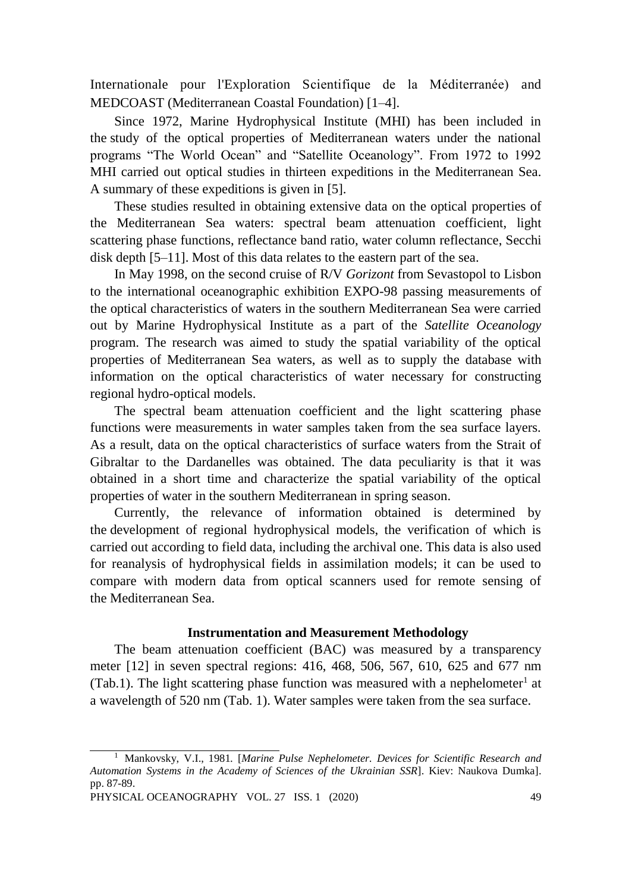Internationale pour l'Exploration Scientifique de la Méditerranée) and MEDCOAST (Mediterranean Coastal Foundation) [1–4].

Since 1972, Marine Hydrophysical Institute (MHI) has been included in the study of the optical properties of Mediterranean waters under the national programs "The World Ocean" and "Satellite Oceanology". From 1972 to 1992 MHI carried out optical studies in thirteen expeditions in the Mediterranean Sea. A summary of these expeditions is given in [5].

These studies resulted in obtaining extensive data on the optical properties of the Mediterranean Sea waters: spectral beam attenuation coefficient, light scattering phase functions, reflectance band ratio, water column reflectance, Secchi disk depth [5–11]. Most of this data relates to the eastern part of the sea.

In May 1998, on the second cruise of R/V *Gorizont* from Sevastopol to Lisbon to the international oceanographic exhibition EXPO-98 passing measurements of the optical characteristics of waters in the southern Mediterranean Sea were carried out by Marine Hydrophysical Institute as a part of the *Satellite Oceanology* program. The research was aimed to study the spatial variability of the optical properties of Mediterranean Sea waters, as well as to supply the database with information on the optical characteristics of water necessary for constructing regional hydro-optical models.

The spectral beam attenuation coefficient and the light scattering phase functions were measurements in water samples taken from the sea surface layers. As a result, data on the optical characteristics of surface waters from the Strait of Gibraltar to the Dardanelles was obtained. The data peculiarity is that it was obtained in a short time and characterize the spatial variability of the optical properties of water in the southern Mediterranean in spring season.

Currently, the relevance of information obtained is determined by the development of regional hydrophysical models, the verification of which is carried out according to field data, including the archival one. This data is also used for reanalysis of hydrophysical fields in assimilation models; it can be used to compare with modern data from optical scanners used for remote sensing of the Mediterranean Sea.

## **Instrumentation and Measurement Methodology**

The beam attenuation coefficient (BAC) was measured by a transparency meter [12] in seven spectral regions: 416, 468, 506, 567, 610, 625 and 677 nm (Tab.1). The light scattering phase function was measured with a nephelometer<sup>1</sup> at a wavelength of 520 nm (Tab. 1). Water samples were taken from the sea surface.

<sup>1</sup> Mankovsky, V.I., 1981*.* [*Marine Pulse Nephelometer. Devices for Scientific Research and Automation Systems in the Academy of Sciences of the Ukrainian SSR*]. Kiev: Naukova Dumka]. pp. 87-89.

PHYSICAL OCEANOGRAPHY VOL. 27 ISS. 1 (2020) 49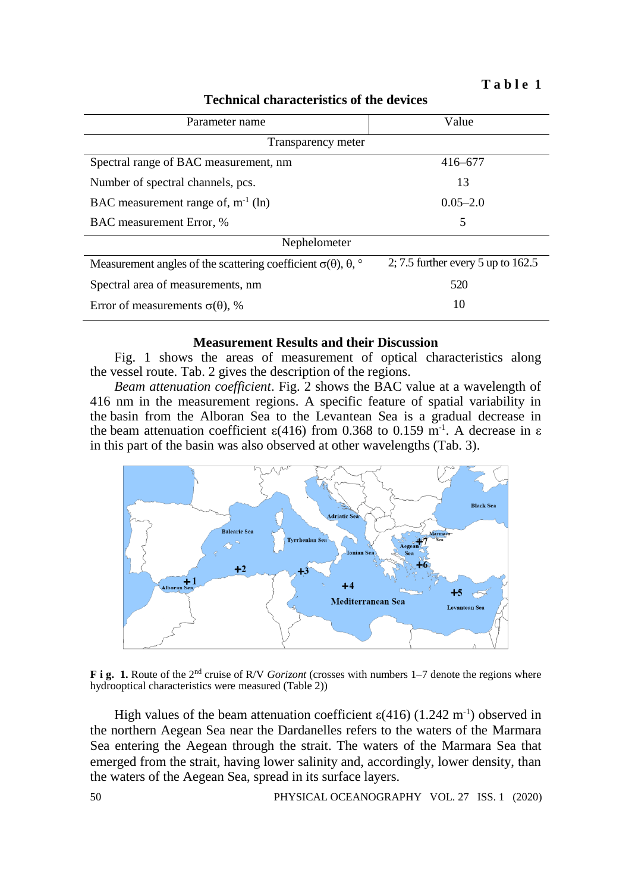**T a b l e 1**

**Technical characteristics of the devices**

| Parameter name                                                                         | Value                                |  |  |  |  |
|----------------------------------------------------------------------------------------|--------------------------------------|--|--|--|--|
| Transparency meter                                                                     |                                      |  |  |  |  |
| Spectral range of BAC measurement, nm                                                  | $416 - 677$                          |  |  |  |  |
| Number of spectral channels, pcs.                                                      | 13                                   |  |  |  |  |
| BAC measurement range of, $m^{-1}$ (ln)                                                | $0.05 - 2.0$                         |  |  |  |  |
| BAC measurement Error, %                                                               | 5                                    |  |  |  |  |
| Nephelometer                                                                           |                                      |  |  |  |  |
| Measurement angles of the scattering coefficient $\sigma(\theta)$ , $\theta$ , $\circ$ | 2; 7.5 further every 5 up to $162.5$ |  |  |  |  |
| Spectral area of measurements, nm                                                      | 520                                  |  |  |  |  |
| Error of measurements $\sigma(\theta)$ , %                                             | 10                                   |  |  |  |  |

## **Measurement Results and their Discussion**

Fig. 1 shows the areas of measurement of optical characteristics along the vessel route. Tab. 2 gives the description of the regions.

*Beam attenuation coefficient*. Fig. 2 shows the BAC value at a wavelength of 416 nm in the measurement regions. A specific feature of spatial variability in the basin from the Alboran Sea to the Levantean Sea is a gradual decrease in the beam attenuation coefficient  $\varepsilon$ (416) from 0.368 to 0.159 m<sup>-1</sup>. A decrease in ε in this part of the basin was also observed at other wavelengths (Tab. 3).



**F i g. 1.** Route of the 2nd cruise of R/V *Gorizont* (crosses with numbers 1–7 denote the regions where hydrooptical characteristics were measured (Table 2))

High values of the beam attenuation coefficient  $\varepsilon$ (416) (1.242 m<sup>-1</sup>) observed in the northern Aegean Sea near the Dardanelles refers to the waters of the Marmara Sea entering the Aegean through the strait. The waters of the Marmara Sea that emerged from the strait, having lower salinity and, accordingly, lower density, than the waters of the Aegean Sea, spread in its surface layers.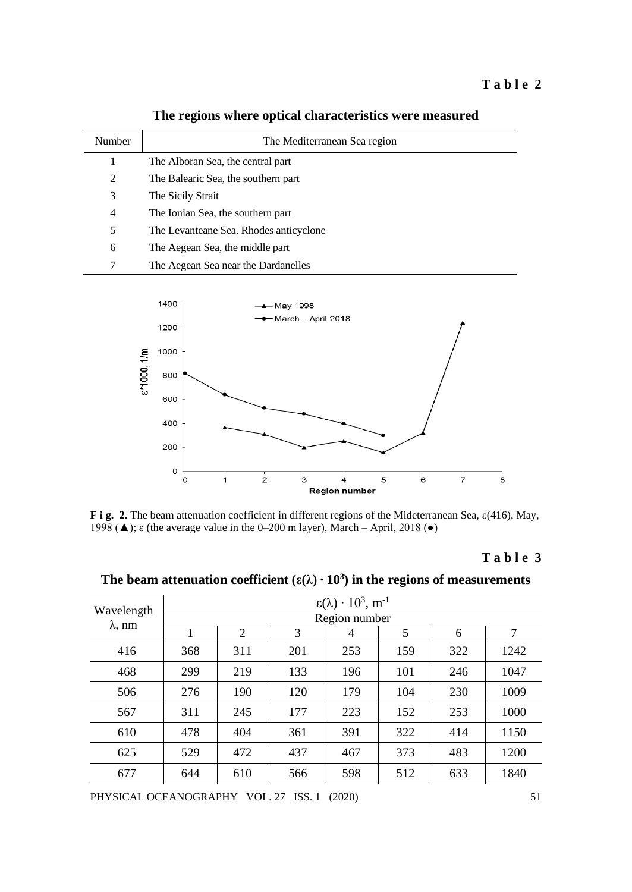| Number | The Mediterranean Sea region           |
|--------|----------------------------------------|
| 1      | The Alboran Sea, the central part      |
| 2      | The Balearic Sea, the southern part    |
| 3      | The Sicily Strait                      |
| 4      | The Ionian Sea, the southern part      |
| 5      | The Levanteane Sea. Rhodes anticyclone |
| 6      | The Aegean Sea, the middle part        |
|        | The Aegean Sea near the Dardanelles    |

**The regions where optical characteristics were measured** 



**F i g. 2.** The beam attenuation coefficient in different regions of the Mideterranean Sea, ε(416), May, 1998 (▲); ε (the average value in the 0–200 m layer), March – April, 2018 (●)

## **T a b l e 3**

| Wavelength<br>$\lambda$ , nm | $\epsilon(\lambda) \cdot 10^3$ , $\overline{m^{-1}}$ |                |     |     |     |     |      |
|------------------------------|------------------------------------------------------|----------------|-----|-----|-----|-----|------|
|                              | Region number                                        |                |     |     |     |     |      |
|                              |                                                      | $\overline{2}$ | 3   | 4   | 5   | 6   | 7    |
| 416                          | 368                                                  | 311            | 201 | 253 | 159 | 322 | 1242 |
| 468                          | 299                                                  | 219            | 133 | 196 | 101 | 246 | 1047 |
| 506                          | 276                                                  | 190            | 120 | 179 | 104 | 230 | 1009 |
| 567                          | 311                                                  | 245            | 177 | 223 | 152 | 253 | 1000 |
| 610                          | 478                                                  | 404            | 361 | 391 | 322 | 414 | 1150 |
| 625                          | 529                                                  | 472            | 437 | 467 | 373 | 483 | 1200 |
| 677                          | 644                                                  | 610            | 566 | 598 | 512 | 633 | 1840 |

The beam attenuation coefficient  $(\epsilon(\lambda) \cdot 10^3)$  in the regions of measurements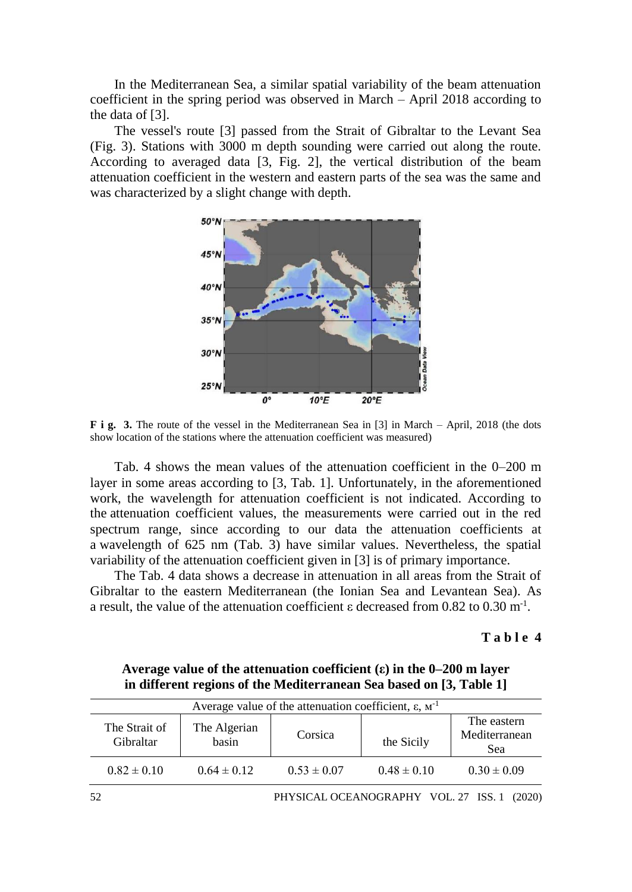In the Mediterranean Sea, a similar spatial variability of the beam attenuation coefficient in the spring period was observed in March – April 2018 according to the data of [3].

The vessel's route [3] passed from the Strait of Gibraltar to the Levant Sea (Fig. 3). Stations with 3000 m depth sounding were carried out along the route. According to averaged data [3, Fig. 2], the vertical distribution of the beam attenuation coefficient in the western and eastern parts of the sea was the same and was characterized by a slight change with depth.



**F** i g. 3. The route of the vessel in the Mediterranean Sea in [3] in March – April, 2018 (the dots show location of the stations where the attenuation coefficient was measured)

Tab. 4 shows the mean values of the attenuation coefficient in the 0–200 m layer in some areas according to [3, Tab. 1]. Unfortunately, in the aforementioned work, the wavelength for attenuation coefficient is not indicated. According to the attenuation coefficient values, the measurements were carried out in the red spectrum range, since according to our data the attenuation coefficients at a wavelength of 625 nm (Tab. 3) have similar values. Nevertheless, the spatial variability of the attenuation coefficient given in [3] is of primary importance.

The Tab. 4 data shows a decrease in attenuation in all areas from the Strait of Gibraltar to the eastern Mediterranean (the Ionian Sea and Levantean Sea). As a result, the value of the attenuation coefficient  $\varepsilon$  decreased from 0.82 to 0.30 m<sup>-1</sup>.

### **T a b l e 4**

**Average value of the attenuation coefficient (ε) in the 0–200 m layer in different regions of the Mediterranean Sea based on [3, Table 1]**

| Average value of the attenuation coefficient, ε, $M^{-1}$ |                       |                 |                 |                                     |
|-----------------------------------------------------------|-----------------------|-----------------|-----------------|-------------------------------------|
| The Strait of<br>Gibraltar                                | The Algerian<br>basin | Corsica         | the Sicily      | The eastern<br>Mediterranean<br>Sea |
| $0.82 \pm 0.10$                                           | $0.64 \pm 0.12$       | $0.53 \pm 0.07$ | $0.48 \pm 0.10$ | $0.30 \pm 0.09$                     |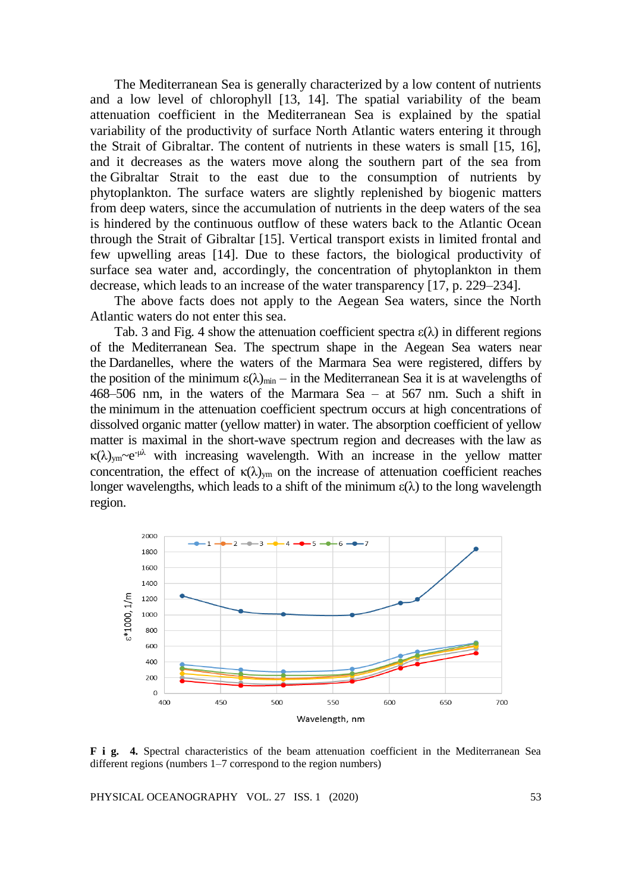The Mediterranean Sea is generally characterized by a low content of nutrients and a low level of chlorophyll [13, 14]. The spatial variability of the beam attenuation coefficient in the Mediterranean Sea is explained by the spatial variability of the productivity of surface North Atlantic waters entering it through the Strait of Gibraltar. The content of nutrients in these waters is small [15, 16], and it decreases as the waters move along the southern part of the sea from the Gibraltar Strait to the east due to the consumption of nutrients by phytoplankton. The surface waters are slightly replenished by biogenic matters from deep waters, since the accumulation of nutrients in the deep waters of the sea is hindered by the continuous outflow of these waters back to the Atlantic Ocean through the Strait of Gibraltar [15]. Vertical transport exists in limited frontal and few upwelling areas [14]. Due to these factors, the biological productivity of surface sea water and, accordingly, the concentration of phytoplankton in them decrease, which leads to an increase of the water transparency [17, p. 229–234].

The above facts does not apply to the Aegean Sea waters, since the North Atlantic waters do not enter this sea.

Tab. 3 and Fig. 4 show the attenuation coefficient spectra  $\varepsilon(\lambda)$  in different regions of the Mediterranean Sea. The spectrum shape in the Aegean Sea waters near the Dardanelles, where the waters of the Marmara Sea were registered, differs by the position of the minimum  $\varepsilon(\lambda)_{min}$  – in the Mediterranean Sea it is at wavelengths of 468–506 nm, in the waters of the Marmara Sea – at 567 nm. Such a shift in the minimum in the attenuation coefficient spectrum occurs at high concentrations of dissolved organic matter (yellow matter) in water. The absorption coefficient of yellow matter is maximal in the short-wave spectrum region and decreases with the law as  $\kappa(\lambda)_{ym}$ ~e<sup>-μλ</sup> with increasing wavelength. With an increase in the yellow matter concentration, the effect of  $\kappa(\lambda)_{ym}$  on the increase of attenuation coefficient reaches longer wavelengths, which leads to a shift of the minimum  $\varepsilon(\lambda)$  to the long wavelength region.



**F i g. 4.** Spectral characteristics of the beam attenuation coefficient in the Mediterranean Sea different regions (numbers 1–7 correspond to the region numbers)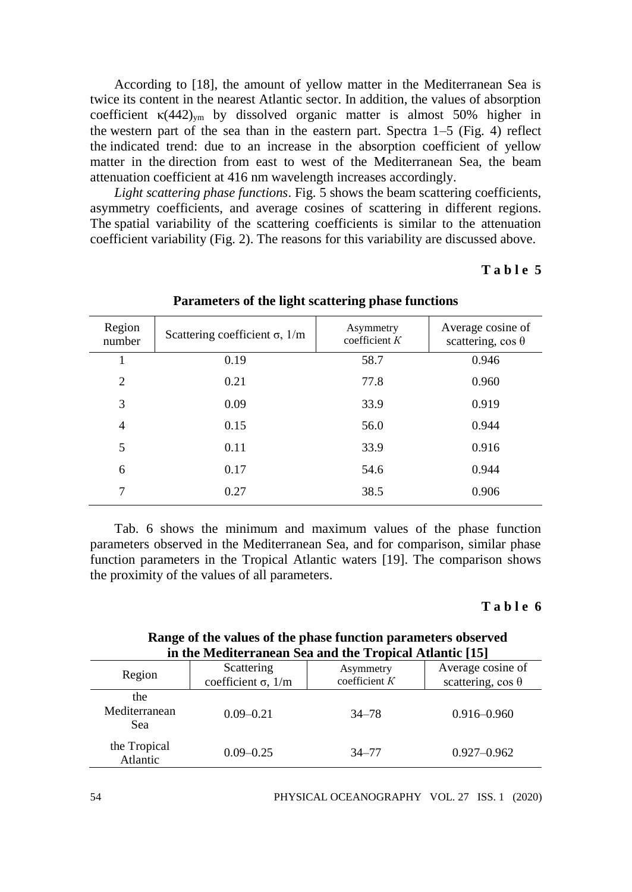According to [18], the amount of yellow matter in the Mediterranean Sea is twice its content in the nearest Atlantic sector. In addition, the values of absorption coefficient  $\kappa$ (442)<sub>ym</sub> by dissolved organic matter is almost 50% higher in the western part of the sea than in the eastern part. Spectra 1–5 (Fig. 4) reflect the indicated trend: due to an increase in the absorption coefficient of yellow matter in the direction from east to west of the Mediterranean Sea, the beam attenuation coefficient at 416 nm wavelength increases accordingly.

*Light scattering phase functions*. Fig. 5 shows the beam scattering coefficients, asymmetry coefficients, and average cosines of scattering in different regions. The spatial variability of the scattering coefficients is similar to the attenuation coefficient variability (Fig. 2). The reasons for this variability are discussed above.

### **T a b l e 5**

| Region<br>number | Scattering coefficient $\sigma$ , 1/m | Asymmetry<br>coefficient $K$ | Average cosine of<br>scattering, $\cos \theta$ |
|------------------|---------------------------------------|------------------------------|------------------------------------------------|
| 1                | 0.19                                  | 58.7                         | 0.946                                          |
| $\mathfrak{D}$   | 0.21                                  | 77.8                         | 0.960                                          |
| 3                | 0.09                                  | 33.9                         | 0.919                                          |
| $\overline{4}$   | 0.15                                  | 56.0                         | 0.944                                          |
| 5                | 0.11                                  | 33.9                         | 0.916                                          |
| 6                | 0.17                                  | 54.6                         | 0.944                                          |
| 7                | 0.27                                  | 38.5                         | 0.906                                          |

#### **Parameters of the light scattering phase functions**

Tab. 6 shows the minimum and maximum values of the phase function parameters observed in the Mediterranean Sea, and for comparison, similar phase function parameters in the Tropical Atlantic waters [19]. The comparison shows the proximity of the values of all parameters.

#### **T a b l e 6**

## **Range of the values of the phase function parameters observed in the Mediterranean Sea and the Tropical Atlantic [15]**

| Region                      | Scattering<br>coefficient $\sigma$ , 1/m | Asymmetry<br>coefficient $K$ | Average cosine of<br>scattering, $\cos \theta$ |  |
|-----------------------------|------------------------------------------|------------------------------|------------------------------------------------|--|
| the<br>Mediterranean<br>Sea | $0.09 - 0.21$                            | $34 - 78$                    | $0.916 - 0.960$                                |  |
| the Tropical<br>Atlantic    | $0.09 - 0.25$                            | $34 - 77$                    | $0.927 - 0.962$                                |  |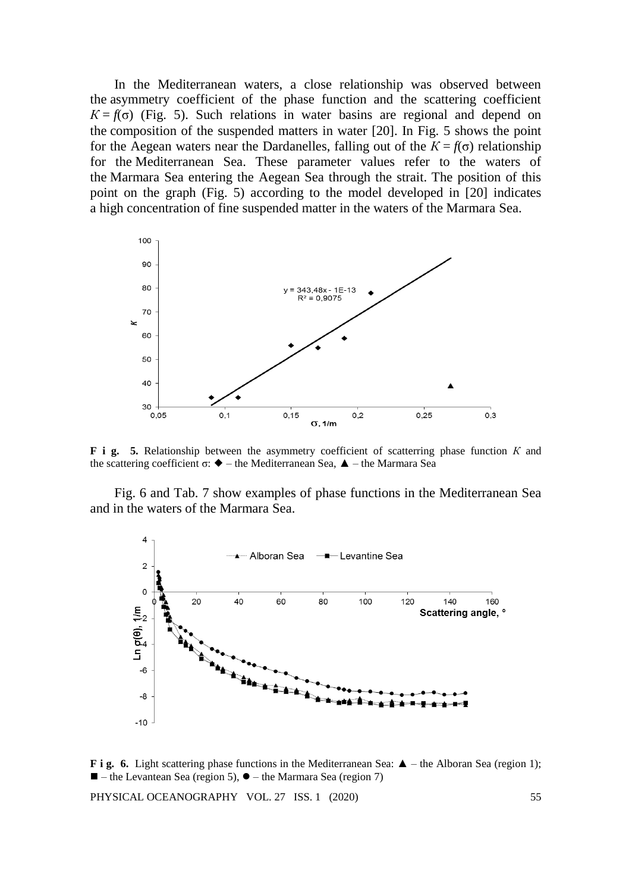In the Mediterranean waters, a close relationship was observed between the asymmetry coefficient of the phase function and the scattering coefficient  $K = f(\sigma)$  (Fig. 5). Such relations in water basins are regional and depend on the composition of the suspended matters in water [20]. In Fig. 5 shows the point for the Aegean waters near the Dardanelles, falling out of the  $K = f(\sigma)$  relationship for the Mediterranean Sea. These parameter values refer to the waters of the Marmara Sea entering the Aegean Sea through the strait. The position of this point on the graph (Fig. 5) according to the model developed in [20] indicates a high concentration of fine suspended matter in the waters of the Marmara Sea.



**F i g. 5.** Relationship between the asymmetry coefficient of scatterring phase function *К* and the scattering coefficient σ:  $\blacklozenge$  – the Mediterranean Sea,  $\blacktriangle$  – the Marmara Sea

Fig. 6 and Tab. 7 show examples of phase functions in the Mediterranean Sea and in the waters of the Marmara Sea.



**F** i **g.** 6. Light scattering phase functions in the Mediterranean Sea: **▲** – the Alboran Sea (region 1);  $\blacksquare$  – the Levantean Sea (region 5),  $\blacklozenge$  – the Marmara Sea (region 7)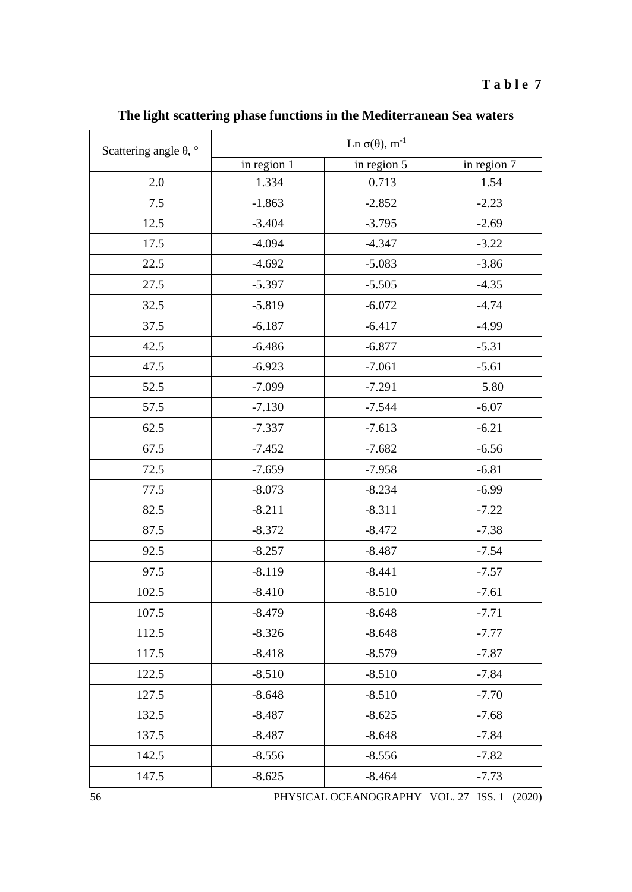| Scattering angle $\theta$ , $\circ$ | Ln $\sigma(\theta)$ , m <sup>-1</sup> |             |             |  |  |
|-------------------------------------|---------------------------------------|-------------|-------------|--|--|
|                                     | in region 1                           | in region 5 | in region 7 |  |  |
| 2.0                                 | 1.334                                 | 0.713       | 1.54        |  |  |
| 7.5                                 | $-1.863$                              | $-2.852$    | $-2.23$     |  |  |
| 12.5                                | $-3.404$                              | $-3.795$    | $-2.69$     |  |  |
| 17.5                                | $-4.094$                              | $-4.347$    | $-3.22$     |  |  |
| 22.5                                | $-4.692$                              | $-5.083$    | $-3.86$     |  |  |
| 27.5                                | $-5.397$                              | $-5.505$    | $-4.35$     |  |  |
| 32.5                                | $-5.819$                              | $-6.072$    | $-4.74$     |  |  |
| 37.5                                | $-6.187$                              | $-6.417$    | $-4.99$     |  |  |
| 42.5                                | $-6.486$                              | $-6.877$    | $-5.31$     |  |  |
| 47.5                                | $-6.923$                              | $-7.061$    | $-5.61$     |  |  |
| 52.5                                | $-7.099$                              | $-7.291$    | 5.80        |  |  |
| 57.5                                | $-7.130$                              | $-7.544$    | $-6.07$     |  |  |
| 62.5                                | $-7.337$                              | $-7.613$    | $-6.21$     |  |  |
| 67.5                                | $-7.452$                              | $-7.682$    | $-6.56$     |  |  |
| 72.5                                | $-7.659$                              | $-7.958$    | $-6.81$     |  |  |
| 77.5                                | $-8.073$                              | $-8.234$    | $-6.99$     |  |  |
| 82.5                                | $-8.211$                              | $-8.311$    | $-7.22$     |  |  |
| 87.5                                | $-8.372$                              | $-8.472$    | $-7.38$     |  |  |
| 92.5                                | $-8.257$                              | $-8.487$    | $-7.54$     |  |  |
| 97.5                                | $-8.119$                              | $-8.441$    | $-7.57$     |  |  |
| 102.5                               | $-8.410$                              | $-8.510$    | $-7.61$     |  |  |
| 107.5                               | $-8.479$                              | $-8.648$    | $-7.71$     |  |  |
| 112.5                               | $-8.326$                              | $-8.648$    | $-7.77$     |  |  |
| 117.5                               | $-8.418$                              | $-8.579$    | $-7.87$     |  |  |
| 122.5                               | $-8.510$                              | $-8.510$    | $-7.84$     |  |  |
| 127.5                               | $-8.648$                              | $-8.510$    | $-7.70$     |  |  |
| 132.5                               | $-8.487$                              | $-8.625$    | $-7.68$     |  |  |
| 137.5                               | $-8.487$                              | $-8.648$    | $-7.84$     |  |  |
| 142.5                               | $-8.556$                              | $-8.556$    | $-7.82$     |  |  |
| 147.5                               | $-8.625$                              | $-8.464$    | $-7.73$     |  |  |

**The light scattering phase functions in the Mediterranean Sea waters**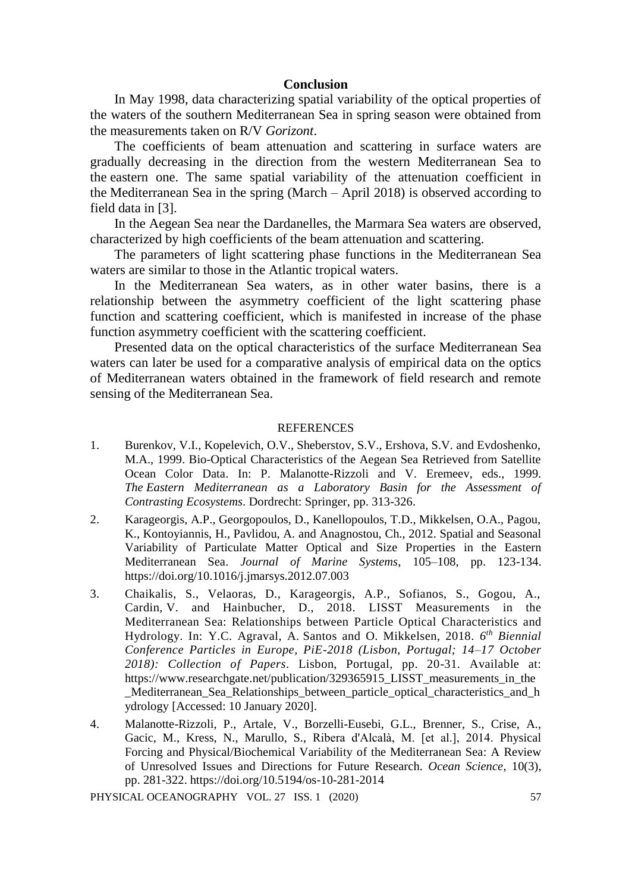### **Conclusion**

In May 1998, data characterizing spatial variability of the optical properties of the waters of the southern Mediterranean Sea in spring season were obtained from the measurements taken on R/V *Gorizont*.

The coefficients of beam attenuation and scattering in surface waters are gradually decreasing in the direction from the western Mediterranean Sea to the eastern one. The same spatial variability of the attenuation coefficient in the Mediterranean Sea in the spring (March – April 2018) is observed according to field data in [3].

In the Aegean Sea near the Dardanelles, the Marmara Sea waters are observed, characterized by high coefficients of the beam attenuation and scattering.

The parameters of light scattering phase functions in the Mediterranean Sea waters are similar to those in the Atlantic tropical waters.

In the Mediterranean Sea waters, as in other water basins, there is a relationship between the asymmetry coefficient of the light scattering phase function and scattering coefficient, which is manifested in increase of the phase function asymmetry coefficient with the scattering coefficient.

Presented data on the optical characteristics of the surface Mediterranean Sea waters can later be used for a comparative analysis of empirical data on the optics of Mediterranean waters obtained in the framework of field research and remote sensing of the Mediterranean Sea.

#### REFERENCES

- 1. Burenkov, V.I., Kopelevich, O.V., Sheberstov, S.V., Ershova, S.V. and Evdoshenko, M.A., 1999. Bio-Optical Characteristics of the Aegean Sea Retrieved from Satellite Ocean Color Data. In: P. Malanotte-Rizzoli and V. Eremeev, eds., 1999. *The Eastern Mediterranean as a Laboratory Basin for the Assessment of Contrasting Ecosystems*. Dordrecht: Springer, pp. 313-326.
- 2. Karageorgis, A.P., Georgopoulos, D., Kanellopoulos, T.D., Mikkelsen, O.A., Pagou, K., Kontoyiannis, H., Pavlidou, A. and Anagnostou, Ch., 2012. Spatial and Seasonal Variability of Particulate Matter Optical and Size Properties in the Eastern Mediterranean Sea. *Journal of Marine Systems*, 105–108, pp. 123-134. https://doi.org/10.1016/j.jmarsys.2012.07.003
- 3. Chaikalis, S., Velaoras, D., Karageorgis, A.P., Sofianos, S., Gogou, A., Cardin, V. and Hainbucher, D., 2018. LISST Measurements in the Mediterranean Sea: Relationships between Particle Optical Characteristics and Hydrology. In: Y.C. Agraval, A. Santos and O. Mikkelsen, 2018. *6 th Biennial Conference Particles in Europe, PiE-2018 (Lisbon, Portugal; 14–17 October 2018): Collection of Papers*. Lisbon, Portugal, pp. 20-31. Available at: https://www.researchgate.net/publication/329365915\_LISST\_measurements\_in\_the \_Mediterranean\_Sea\_Relationships\_between\_particle\_optical\_characteristics\_and\_h ydrology [Accessed: 10 January 2020].
- 4. Malanotte-Rizzoli, P., Artale, V., Borzelli-Eusebi, G.L., Brenner, S., Crise, A., Gacic, M., Kress, N., Marullo, S., Ribera d'Alcalà, M. [et al.], 2014. Physical Forcing and Physical/Biochemical Variability of the Mediterranean Sea: A Review of Unresolved Issues and Directions for Future Research. *Ocean Science*, 10(3), pp. 281-322. https://doi.org/10.5194/os-10-281-2014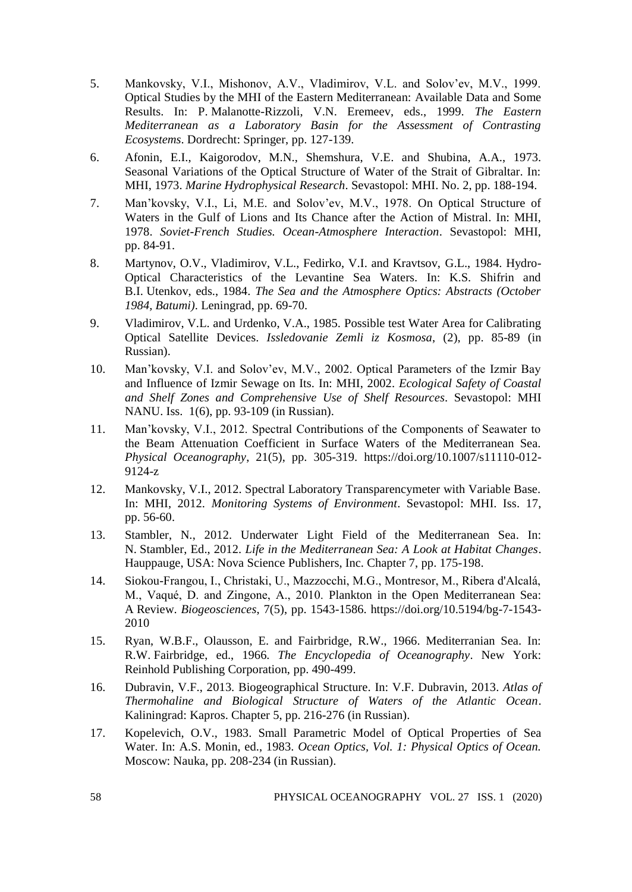- 5. Mankovsky, V.I., Mishonov, A.V., Vladimirov, V.L. and Solov'ev, M.V., 1999. Optical Studies by the MHI of the Eastern Mediterranean: Available Data and Some Results. In: P. Malanotte-Rizzoli, V.N. Eremeev, eds., 1999. *The Eastern Mediterranean as a Laboratory Basin for the Assessment of Contrasting Ecosystems*. Dordrecht: Springer, pp. 127-139.
- 6. Afonin, E.I., Kaigorodov, M.N., Shemshura, V.E. and Shubina, A.A., 1973. Seasonal Variations of the Optical Structure of Water of the Strait of Gibraltar. In: MHI, 1973. *Marine Hydrophysical Research*. Sevastopol: MHI. No. 2, pp. 188-194.
- 7. Man'kovsky, V.I., Li, M.E. and Solov'ev, M.V., 1978. On Optical Structure of Waters in the Gulf of Lions and Its Chance after the Action of Mistral. In: MHI, 1978. *Soviet-French Studies. Ocean-Atmosphere Interaction*. Sevastopol: MHI, pp. 84-91.
- 8. Martynov, O.V., Vladimirov, V.L., Fedirko, V.I. and Kravtsov, G.L., 1984. Hydro-Optical Characteristics of the Levantine Sea Waters. In: K.S. Shifrin and B.I. Utenkov, eds., 1984. *The Sea and the Atmosphere Optics: Abstracts (October 1984, Batumi)*. Leningrad, pp. 69-70.
- 9. Vladimirov, V.L. and Urdenko, V.A., 1985. Possible test Water Area for Calibrating Optical Satellite Devices. *Issledovanie Zemli iz Kosmosa*, (2), pp. 85-89 (in Russian).
- 10. Man'kovsky, V.I. and Solov'ev, M.V., 2002. Optical Parameters of the Izmir Bay and Influence of Izmir Sewage on Its. In: MHI, 2002. *Ecological Safety of Coastal and Shelf Zones and Comprehensive Use of Shelf Resources*. Sevastopol: MHI NANU. Iss. 1(6), pp. 93-109 (in Russian).
- 11. Man'kovsky, V.I., 2012. Spectral Contributions of the Components of Seawater to the Beam Attenuation Coefficient in Surface Waters of the Mediterranean Sea. *Physical Oceanography*, 21(5), pp. 305-319. https://doi.org/10.1007/s11110-012- 9124-z
- 12. Mankovsky, V.I., 2012. Spectral Laboratory Transparencymeter with Variable Base. In: MHI, 2012. *Monitoring Systems of Environment*. Sevastopol: MHI. Iss. 17, pp. 56-60.
- 13. Stambler, N*.*, 2012. Underwater Light Field of the Mediterranean Sea. In: N. Stambler, Ed., 2012. *Life in the Mediterranean Sea: A Look at Habitat Changes*. Hauppauge, USA: Nova Science Publishers, Inc. Chapter 7, pp. 175-198.
- 14. Siokou-Frangou, I., Christaki, U., Mazzocchi, M.G., Montresor, M., Ribera d'Alcalá, M., Vaqué, D. and Zingone, A., 2010. Plankton in the Open Mediterranean Sea: A Review. *Biogeosciences*, 7(5), pp. 1543-1586. https://doi.org/10.5194/bg-7-1543- 2010
- 15. Ryan, W.B.F., Olausson, E. and Fairbridge, R.W., 1966. Mediterranian Sea. In: R.W. Fairbridge, ed., 1966. *The Encyclopedia of Oceanography*. New York: Reinhold Publishing Corporation, pp. 490-499.
- 16. Dubravin, V.F., 2013. Biogeographical Structure. In: V.F. Dubravin, 2013. *Atlas of Thermohaline and Biological Structure of Waters of the Atlantic Ocean*. Kaliningrad: Kapros. Chapter 5, pp. 216-276 (in Russian).
- 17. Kopelevich, O.V., 1983. Small Parametric Model of Optical Properties of Sea Water. In: A.S. Monin, ed., 1983. *Ocean Optics, Vol. 1: Physical Optics of Ocean.*  Moscow: Nauka, pp. 208-234 (in Russian).